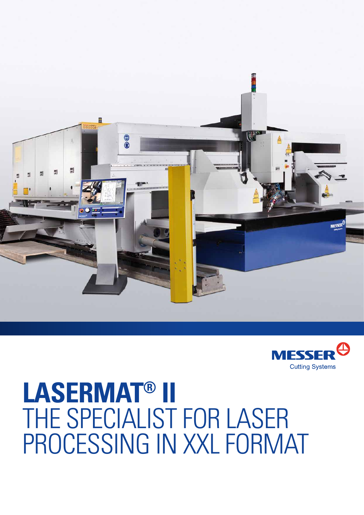



## **LaserMat® II**  THE SPECIALIST FOR LASER processing in XXL format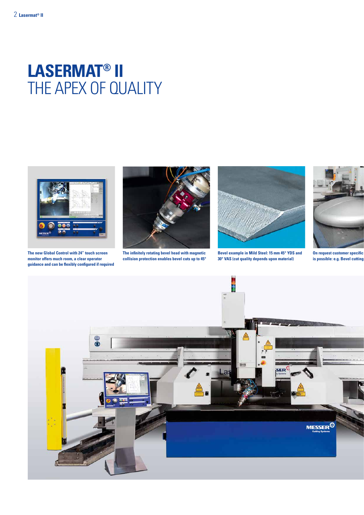## **LaserMat® II**  THE APEX OF QUALITY



**The new Global Control with 24" touch screen monitor offers much room, a clear operator guidance and can be flexibly configured if required**



**The infinitely rotating bevel head with magnetic collision protection enables bevel cuts up to 45°**



**Bevel example in Mild Steel: 15 mm 45° YDS and 30° VAS (cut quality depends upon material)**



**On request customer specific** is possible: e.g. Bevel cutting

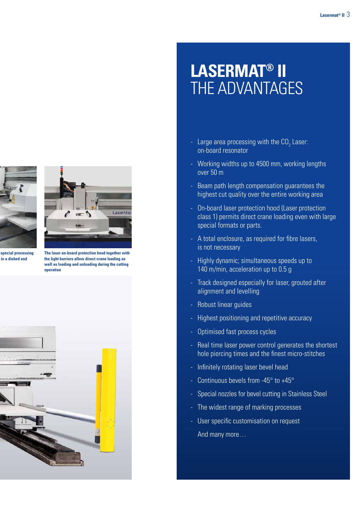

**On request customer specific special processing is possible: e.g. Bevel cutting in a dished end**



**The laser on-board protection hood together with the light barriers allow direct crane loading as well as loading and unloading during the cutting operation**



## **LaserMat® II**  The advantages

- Large area processing with the  $CO<sub>2</sub>$  Laser: on-board resonator
- Working widths up to 4500 mm, working lengths over 50 m
- Beam path length compensation guarantees the highest cut quality over the entire working area
- On-board laser protection hood (Laser protection class 1) permits direct crane loading even with large special formats or parts.
- A total enclosure, as required for fibre lasers, is not necessary
- Highly dynamic; simultaneous speeds up to 140 m/min, acceleration up to 0.5 g
- Track designed especially for laser, grouted after alignment and levelling
- Robust linear guides
- Highest positioning and repetitive accuracy
- Optimised fast process cycles
- Real time laser power control generates the shortest hole piercing times and the finest micro-stitches
- Infinitely rotating laser bevel head
- Continuous bevels from -45 $\degree$  to +45 $\degree$
- Special nozzles for bevel cutting in Stainless Steel
- The widest range of marking processes
- User specific customisation on request And many more…